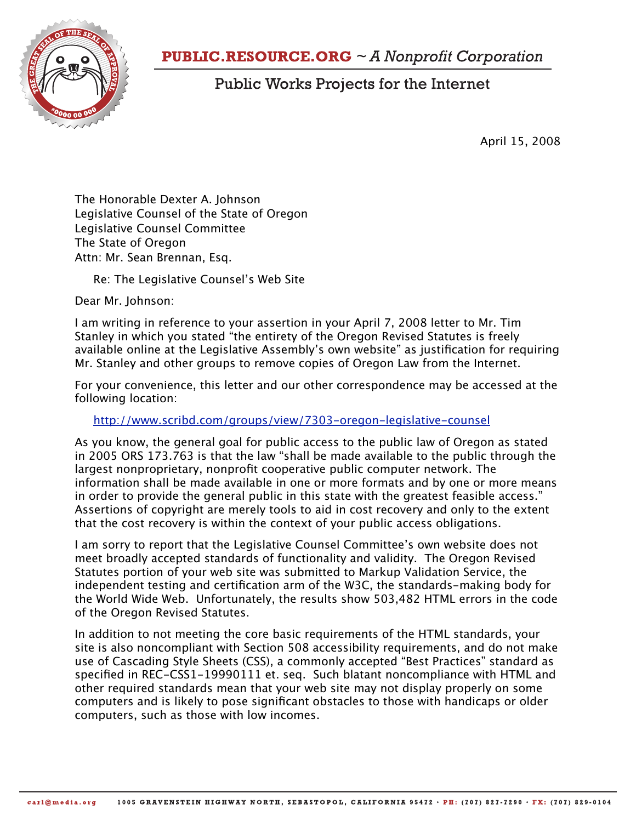

## **PUBLIC.RESOURCE.ORG**  $\sim$  A Nonprofit Corporation

## **Public Works Projects for the Internet**

April 15, 2008

The Honorable Dexter A. Johnson Legislative Counsel of the State of Oregon Legislative Counsel Committee The State of Oregon Attn: Mr. Sean Brennan, Esq.

Re: The Legislative Counsel's Web Site

Dear Mr. Johnson:

I am writing in reference to your assertion in your April 7, 2008 letter to Mr. Tim Stanley in which you stated "the entirety of the Oregon Revised Statutes is freely available online at the Legislative Assembly's own website" as justification for requiring Mr. Stanley and other groups to remove copies of Oregon Law from the Internet.

For your convenience, this letter and our other correspondence may be accessed at the following location:

<http://www.scribd.com/groups/view/7303-oregon-legislative-counsel>

As you know, the general goal for public access to the public law of Oregon as stated in 2005 ORS 173.763 is that the law "shall be made available to the public through the largest nonproprietary, nonprofit cooperative public computer network. The information shall be made available in one or more formats and by one or more means in order to provide the general public in this state with the greatest feasible access." Assertions of copyright are merely tools to aid in cost recovery and only to the extent that the cost recovery is within the context of your public access obligations.

I am sorry to report that the Legislative Counsel Committee's own website does not meet broadly accepted standards of functionality and validity. The Oregon Revised Statutes portion of your web site was submitted to Markup Validation Service, the independent testing and certification arm of the W3C, the standards-making body for the World Wide Web. Unfortunately, the results show 503,482 HTML errors in the code of the Oregon Revised Statutes.

In addition to not meeting the core basic requirements of the HTML standards, your site is also noncompliant with Section 508 accessibility requirements, and do not make use of Cascading Style Sheets (CSS), a commonly accepted "Best Practices" standard as specified in REC-CSS1-19990111 et. seq. Such blatant noncompliance with HTML and other required standards mean that your web site may not display properly on some computers and is likely to pose significant obstacles to those with handicaps or older computers, such as those with low incomes.